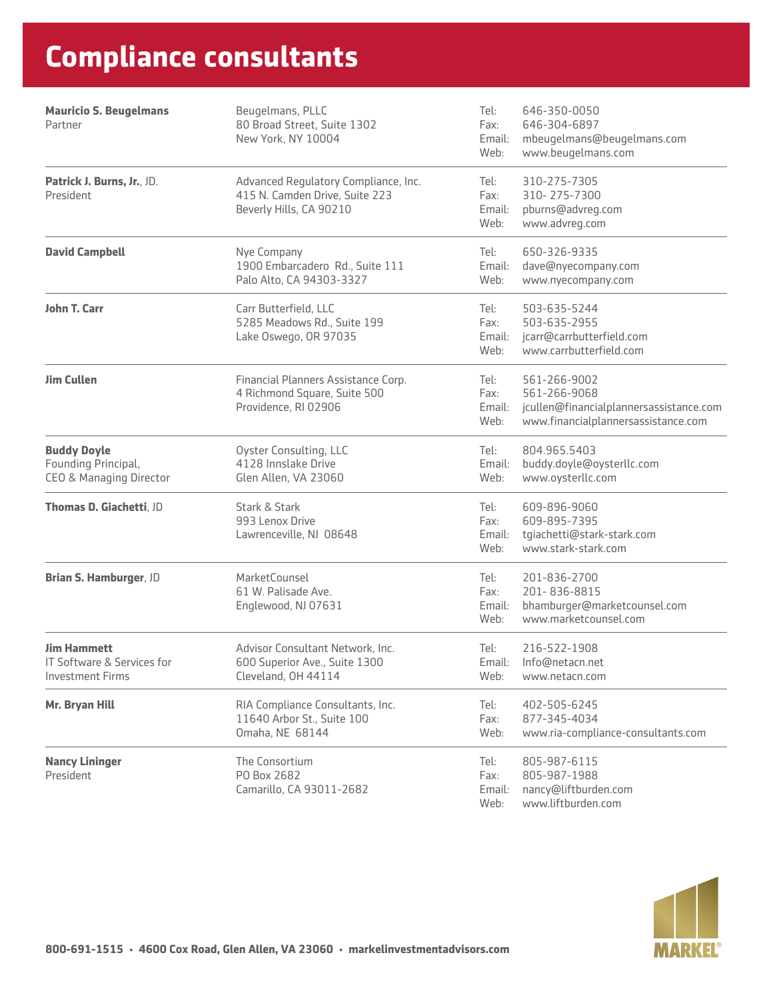## **Compliance consultants**

| <b>Mauricio S. Beugelmans</b><br>Partner                                    | Beugelmans, PLLC<br>80 Broad Street, Suite 1302<br>New York, NY 10004                             | Tel:<br>Fax:<br>Email:<br>Web: | 646-350-0050<br>646-304-6897<br>mbeugelmans@beugelmans.com<br>www.beugelmans.com                               |  |
|-----------------------------------------------------------------------------|---------------------------------------------------------------------------------------------------|--------------------------------|----------------------------------------------------------------------------------------------------------------|--|
| Patrick J. Burns, Jr., JD.<br>President                                     | Advanced Regulatory Compliance, Inc.<br>415 N. Camden Drive, Suite 223<br>Beverly Hills, CA 90210 | Tel:<br>Fax:<br>Email:<br>Web: | 310-275-7305<br>310-275-7300<br>pburns@advreg.com<br>www.advreg.com                                            |  |
| <b>David Campbell</b>                                                       | Nye Company<br>1900 Embarcadero Rd., Suite 111<br>Palo Alto, CA 94303-3327                        | Tel:<br>Email:<br>Web:         | 650-326-9335<br>dave@nyecompany.com<br>www.nyecompany.com                                                      |  |
| John T. Carr                                                                | Carr Butterfield, LLC<br>5285 Meadows Rd., Suite 199<br>Lake Oswego, OR 97035                     | Tel:<br>Fax:<br>Email:<br>Web: | 503-635-5244<br>503-635-2955<br>jcarr@carrbutterfield.com<br>www.carrbutterfield.com                           |  |
| <b>Jim Cullen</b>                                                           | Financial Planners Assistance Corp.<br>4 Richmond Square, Suite 500<br>Providence, RI 02906       | Tel:<br>Fax:<br>Email:<br>Web: | 561-266-9002<br>561-266-9068<br>jcullen@financialplannersassistance.com<br>www.financialplannersassistance.com |  |
| <b>Buddy Doyle</b><br>Founding Principal,<br>CEO & Managing Director        | Oyster Consulting, LLC<br>4128 Innslake Drive<br>Glen Allen, VA 23060                             | Tel:<br>Email:<br>Web:         | 804.965.5403<br>buddy.doyle@oysterllc.com<br>www.oysterllc.com                                                 |  |
| Thomas D. Giachetti, JD                                                     | Stark & Stark<br>993 Lenox Drive<br>Lawrenceville, NJ 08648                                       | Tel:<br>Fax:<br>Email:<br>Web: | 609-896-9060<br>609-895-7395<br>tgiachetti@stark-stark.com<br>www.stark-stark.com                              |  |
| Brian S. Hamburger, JD                                                      | MarketCounsel<br>61 W. Palisade Ave.<br>Englewood, NJ 07631                                       | Tel:<br>Fax:<br>Email:<br>Web: | 201-836-2700<br>201-836-8815<br>bhamburger@marketcounsel.com<br>www.marketcounsel.com                          |  |
| <b>Jim Hammett</b><br>IT Software & Services for<br><b>Investment Firms</b> | Advisor Consultant Network, Inc.<br>600 Superior Ave., Suite 1300<br>Cleveland, OH 44114          | Tel:<br>Email:<br>Web:         | 216-522-1908<br>Info@netacn.net<br>www.netacn.com                                                              |  |
| Mr. Bryan Hill                                                              | RIA Compliance Consultants, Inc.<br>11640 Arbor St., Suite 100<br>Omaha, NE 68144                 | Tel:<br>Fax:<br>Web:           | 402-505-6245<br>877-345-4034<br>www.ria-compliance-consultants.com                                             |  |
| <b>Nancy Lininger</b><br>President                                          | The Consortium<br>PO Box 2682<br>Camarillo, CA 93011-2682                                         | Tel:<br>Fax:<br>Email:<br>Web: | 805-987-6115<br>805-987-1988<br>nancy@liftburden.com<br>www.liftburden.com                                     |  |